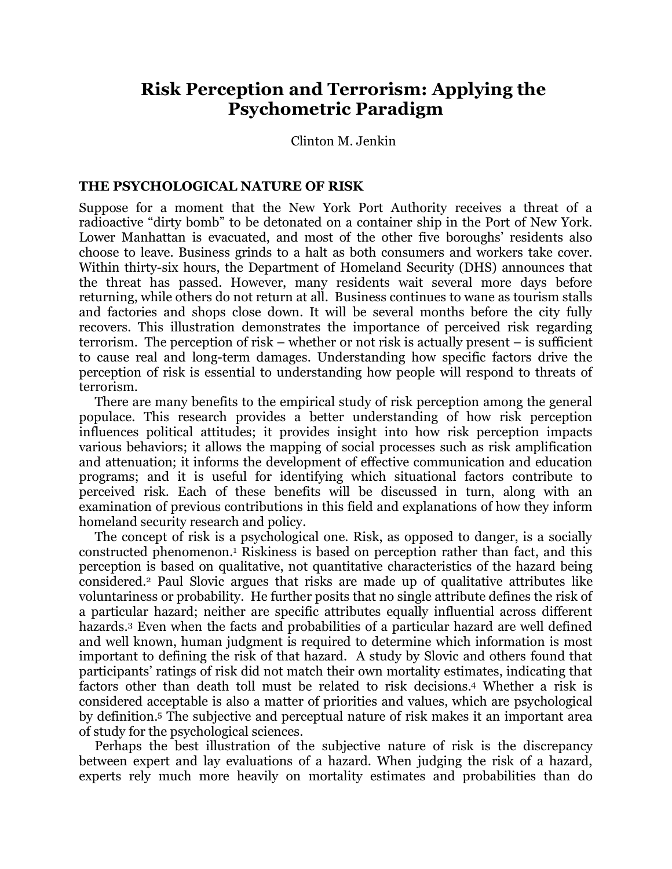# **Risk Perception and Terrorism: Applying the Psychometric Paradigm**

Clinton M. Jenkin

#### **THE PSYCHOLOGICAL NATURE OF RISK**

Suppose for a moment that the New York Port Authority receives a threat of a radioactive "dirty bomb" to be detonated on a container ship in the Port of New York. Lower Manhattan is evacuated, and most of the other five boroughs' residents also choose to leave. Business grinds to a halt as both consumers and workers take cover. Within thirty-six hours, the Department of Homeland Security (DHS) announces that the threat has passed. However, many residents wait several more days before returning, while others do not return at all. Business continues to wane as tourism stalls and factories and shops close down. It will be several months before the city fully recovers. This illustration demonstrates the importance of perceived risk regarding terrorism. The perception of risk – whether or not risk is actually present – is sufficient to cause real and long-term damages. Understanding how specific factors drive the perception of risk is essential to understanding how people will respond to threats of terrorism.

There are many benefits to the empirical study of risk perception among the general populace. This research provides a better understanding of how risk perception influences political attitudes; it provides insight into how risk perception impacts various behaviors; it allows the mapping of social processes such as risk amplification and attenuation; it informs the development of effective communication and education programs; and it is useful for identifying which situational factors contribute to perceived risk. Each of these benefits will be discussed in turn, along with an examination of previous contributions in this field and explanations of how they inform homeland security research and policy.

The concept of risk is a psychological one. Risk, as opposed to danger, is a socially constructed phenomenon.1 Riskiness is based on perception rather than fact, and this perception is based on qualitative, not quantitative characteristics of the hazard being considered.2 Paul Slovic argues that risks are made up of qualitative attributes like voluntariness or probability. He further posits that no single attribute defines the risk of a particular hazard; neither are specific attributes equally influential across different hazards.<sup>3</sup> Even when the facts and probabilities of a particular hazard are well defined and well known, human judgment is required to determine which information is most important to defining the risk of that hazard. A study by Slovic and others found that participants' ratings of risk did not match their own mortality estimates, indicating that factors other than death toll must be related to risk decisions. <sup>4</sup> Whether a risk is considered acceptable is also a matter of priorities and values, which are psychological by definition. <sup>5</sup> The subjective and perceptual nature of risk makes it an important area of study for the psychological sciences.

Perhaps the best illustration of the subjective nature of risk is the discrepancy between expert and lay evaluations of a hazard. When judging the risk of a hazard, experts rely much more heavily on mortality estimates and probabilities than do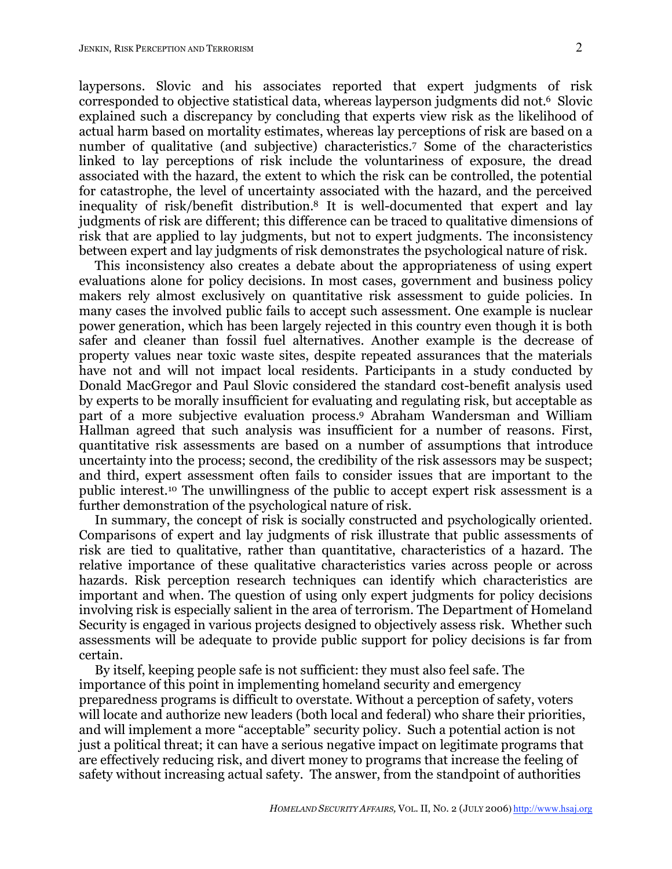laypersons. Slovic and his associates reported that expert judgments of risk corresponded to objective statistical data, whereas layperson judgments did not. <sup>6</sup> Slovic explained such a discrepancy by concluding that experts view risk as the likelihood of actual harm based on mortality estimates, whereas lay perceptions of risk are based on a number of qualitative (and subjective) characteristics.7 Some of the characteristics linked to lay perceptions of risk include the voluntariness of exposure, the dread associated with the hazard, the extent to which the risk can be controlled, the potential for catastrophe, the level of uncertainty associated with the hazard, and the perceived inequality of risk/benefit distribution. <sup>8</sup> It is well-documented that expert and lay judgments of risk are different; this difference can be traced to qualitative dimensions of risk that are applied to lay judgments, but not to expert judgments. The inconsistency between expert and lay judgments of risk demonstrates the psychological nature of risk.

This inconsistency also creates a debate about the appropriateness of using expert evaluations alone for policy decisions. In most cases, government and business policy makers rely almost exclusively on quantitative risk assessment to guide policies. In many cases the involved public fails to accept such assessment. One example is nuclear power generation, which has been largely rejected in this country even though it is both safer and cleaner than fossil fuel alternatives. Another example is the decrease of property values near toxic waste sites, despite repeated assurances that the materials have not and will not impact local residents. Participants in a study conducted by Donald MacGregor and Paul Slovic considered the standard cost-benefit analysis used by experts to be morally insufficient for evaluating and regulating risk, but acceptable as part of a more subjective evaluation process. <sup>9</sup> Abraham Wandersman and William Hallman agreed that such analysis was insufficient for a number of reasons. First, quantitative risk assessments are based on a number of assumptions that introduce uncertainty into the process; second, the credibility of the risk assessors may be suspect; and third, expert assessment often fails to consider issues that are important to the public interest.10 The unwillingness of the public to accept expert risk assessment is a further demonstration of the psychological nature of risk.

In summary, the concept of risk is socially constructed and psychologically oriented. Comparisons of expert and lay judgments of risk illustrate that public assessments of risk are tied to qualitative, rather than quantitative, characteristics of a hazard. The relative importance of these qualitative characteristics varies across people or across hazards. Risk perception research techniques can identify which characteristics are important and when. The question of using only expert judgments for policy decisions involving risk is especially salient in the area of terrorism. The Department of Homeland Security is engaged in various projects designed to objectively assess risk. Whether such assessments will be adequate to provide public support for policy decisions is far from certain.

By itself, keeping people safe is not sufficient: they must also feel safe. The importance of this point in implementing homeland security and emergency preparedness programs is difficult to overstate. Without a perception of safety, voters will locate and authorize new leaders (both local and federal) who share their priorities, and will implement a more "acceptable" security policy. Such a potential action is not just a political threat; it can have a serious negative impact on legitimate programs that are effectively reducing risk, and divert money to programs that increase the feeling of safety without increasing actual safety. The answer, from the standpoint of authorities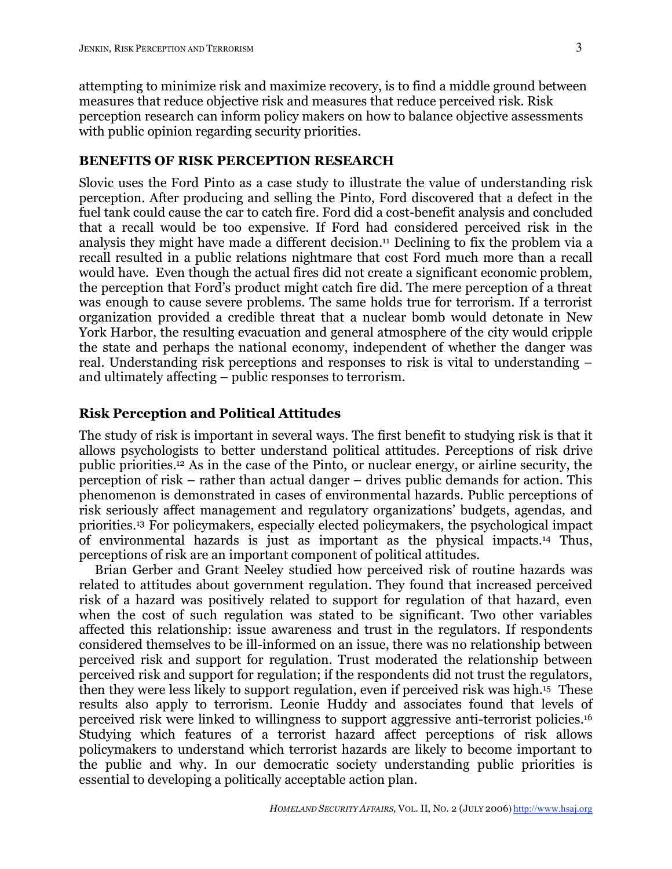attempting to minimize risk and maximize recovery, is to find a middle ground between measures that reduce objective risk and measures that reduce perceived risk. Risk perception research can inform policy makers on how to balance objective assessments with public opinion regarding security priorities.

## **BENEFITS OF RISK PERCEPTION RESEARCH**

Slovic uses the Ford Pinto as a case study to illustrate the value of understanding risk perception. After producing and selling the Pinto, Ford discovered that a defect in the fuel tank could cause the car to catch fire. Ford did a cost-benefit analysis and concluded that a recall would be too expensive. If Ford had considered perceived risk in the analysis they might have made a different decision. <sup>11</sup> Declining to fix the problem via a recall resulted in a public relations nightmare that cost Ford much more than a recall would have. Even though the actual fires did not create a significant economic problem, the perception that Ford's product might catch fire did. The mere perception of a threat was enough to cause severe problems. The same holds true for terrorism. If a terrorist organization provided a credible threat that a nuclear bomb would detonate in New York Harbor, the resulting evacuation and general atmosphere of the city would cripple the state and perhaps the national economy, independent of whether the danger was real. Understanding risk perceptions and responses to risk is vital to understanding – and ultimately affecting – public responses to terrorism.

### **Risk Perception and Political Attitudes**

The study of risk is important in several ways. The first benefit to studying risk is that it allows psychologists to better understand political attitudes. Perceptions of risk drive public priorities. <sup>12</sup> As in the case of the Pinto, or nuclear energy, or airline security, the perception of risk – rather than actual danger – drives public demands for action. This phenomenon is demonstrated in cases of environmental hazards. Public perceptions of risk seriously affect management and regulatory organizations' budgets, agendas, and priorities. <sup>13</sup> For policymakers, especially elected policymakers, the psychological impact of environmental hazards is just as important as the physical impacts.14 Thus, perceptions of risk are an important component of political attitudes.

Brian Gerber and Grant Neeley studied how perceived risk of routine hazards was related to attitudes about government regulation. They found that increased perceived risk of a hazard was positively related to support for regulation of that hazard, even when the cost of such regulation was stated to be significant. Two other variables affected this relationship: issue awareness and trust in the regulators. If respondents considered themselves to be ill-informed on an issue, there was no relationship between perceived risk and support for regulation. Trust moderated the relationship between perceived risk and support for regulation; if the respondents did not trust the regulators, then they were less likely to support regulation, even if perceived risk was high.15 These results also apply to terrorism. Leonie Huddy and associates found that levels of perceived risk were linked to willingness to support aggressive anti-terrorist policies.16 Studying which features of a terrorist hazard affect perceptions of risk allows policymakers to understand which terrorist hazards are likely to become important to the public and why. In our democratic society understanding public priorities is essential to developing a politically acceptable action plan.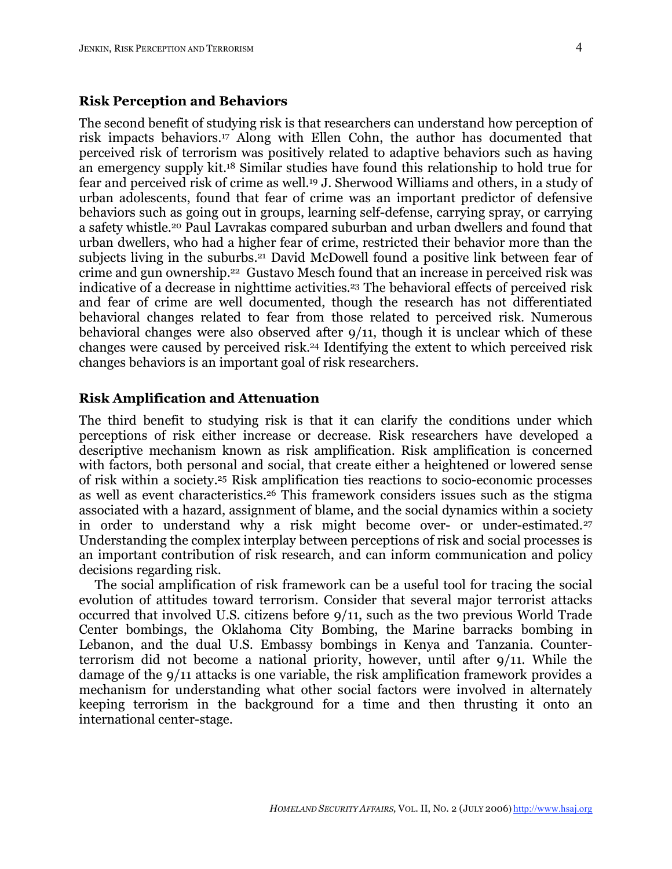#### **Risk Perception and Behaviors**

The second benefit of studying risk is that researchers can understand how perception of risk impacts behaviors. <sup>17</sup> Along with Ellen Cohn, the author has documented that perceived risk of terrorism was positively related to adaptive behaviors such as having an emergency supply kit.18 Similar studies have found this relationship to hold true for fear and perceived risk of crime as well.19 J. Sherwood Williams and others, in a study of urban adolescents, found that fear of crime was an important predictor of defensive behaviors such as going out in groups, learning self-defense, carrying spray, or carrying a safety whistle.20 Paul Lavrakas compared suburban and urban dwellers and found that urban dwellers, who had a higher fear of crime, restricted their behavior more than the subjects living in the suburbs. <sup>21</sup> David McDowell found a positive link between fear of crime and gun ownership.22 Gustavo Mesch found that an increase in perceived risk was indicative of a decrease in nighttime activities. <sup>23</sup> The behavioral effects of perceived risk and fear of crime are well documented, though the research has not differentiated behavioral changes related to fear from those related to perceived risk. Numerous behavioral changes were also observed after 9/11, though it is unclear which of these changes were caused by perceived risk. <sup>24</sup> Identifying the extent to which perceived risk changes behaviors is an important goal of risk researchers.

## **Risk Amplification and Attenuation**

The third benefit to studying risk is that it can clarify the conditions under which perceptions of risk either increase or decrease. Risk researchers have developed a descriptive mechanism known as risk amplification. Risk amplification is concerned with factors, both personal and social, that create either a heightened or lowered sense of risk within a society.25 Risk amplification ties reactions to socio-economic processes as well as event characteristics.26 This framework considers issues such as the stigma associated with a hazard, assignment of blame, and the social dynamics within a society in order to understand why a risk might become over- or under-estimated.<sup>27</sup> Understanding the complex interplay between perceptions of risk and social processes is an important contribution of risk research, and can inform communication and policy decisions regarding risk.

The social amplification of risk framework can be a useful tool for tracing the social evolution of attitudes toward terrorism. Consider that several major terrorist attacks occurred that involved U.S. citizens before 9/11, such as the two previous World Trade Center bombings, the Oklahoma City Bombing, the Marine barracks bombing in Lebanon, and the dual U.S. Embassy bombings in Kenya and Tanzania. Counterterrorism did not become a national priority, however, until after 9/11. While the damage of the 9/11 attacks is one variable, the risk amplification framework provides a mechanism for understanding what other social factors were involved in alternately keeping terrorism in the background for a time and then thrusting it onto an international center-stage.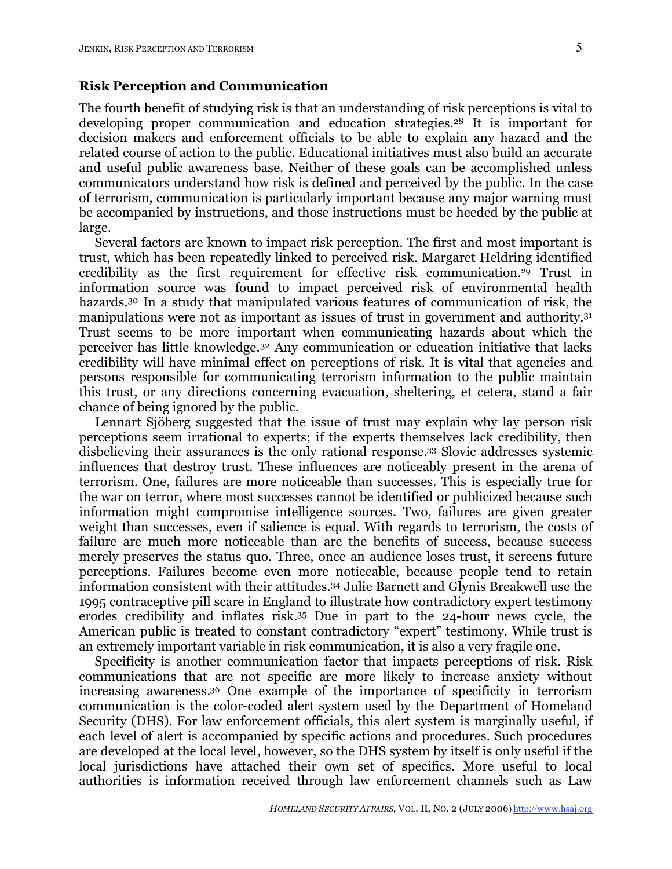## **Risk Perception and Communication**

The fourth benefit of studying risk is that an understanding of risk perceptions is vital to developing proper communication and education strategies.28 It is important for decision makers and enforcement officials to be able to explain any hazard and the related course of action to the public. Educational initiatives must also build an accurate and useful public awareness base. Neither of these goals can be accomplished unless communicators understand how risk is defined and perceived by the public. In the case of terrorism, communication is particularly important because any major warning must be accompanied by instructions, and those instructions must be heeded by the public at large.

Several factors are known to impact risk perception. The first and most important is trust, which has been repeatedly linked to perceived risk. Margaret Heldring identified credibility as the first requirement for effective risk communication.29 Trust in information source was found to impact perceived risk of environmental health hazards.<sup>30</sup> In a study that manipulated various features of communication of risk, the manipulations were not as important as issues of trust in government and authority.31 Trust seems to be more important when communicating hazards about which the perceiver has little knowledge.32 Any communication or education initiative that lacks credibility will have minimal effect on perceptions of risk. It is vital that agencies and persons responsible for communicating terrorism information to the public maintain this trust, or any directions concerning evacuation, sheltering, et cetera, stand a fair chance of being ignored by the public.

Lennart Sjöberg suggested that the issue of trust may explain why lay person risk perceptions seem irrational to experts; if the experts themselves lack credibility, then disbelieving their assurances is the only rational response. <sup>33</sup> Slovic addresses systemic influences that destroy trust. These influences are noticeably present in the arena of terrorism. One, failures are more noticeable than successes. This is especially true for the war on terror, where most successes cannot be identified or publicized because such information might compromise intelligence sources. Two, failures are given greater weight than successes, even if salience is equal. With regards to terrorism, the costs of failure are much more noticeable than are the benefits of success, because success merely preserves the status quo. Three, once an audience loses trust, it screens future perceptions. Failures become even more noticeable, because people tend to retain information consistent with their attitudes.34 Julie Barnett and Glynis Breakwell use the 1995 contraceptive pill scare in England to illustrate how contradictory expert testimony erodes credibility and inflates risk. <sup>35</sup> Due in part to the 24-hour news cycle, the American public is treated to constant contradictory "expert" testimony. While trust is an extremely important variable in risk communication, it is also a very fragile one.

Specificity is another communication factor that impacts perceptions of risk. Risk communications that are not specific are more likely to increase anxiety without increasing awareness. <sup>36</sup> One example of the importance of specificity in terrorism communication is the color-coded alert system used by the Department of Homeland Security (DHS). For law enforcement officials, this alert system is marginally useful, if each level of alert is accompanied by specific actions and procedures. Such procedures are developed at the local level, however, so the DHS system by itself is only useful if the local jurisdictions have attached their own set of specifics. More useful to local authorities is information received through law enforcement channels such as Law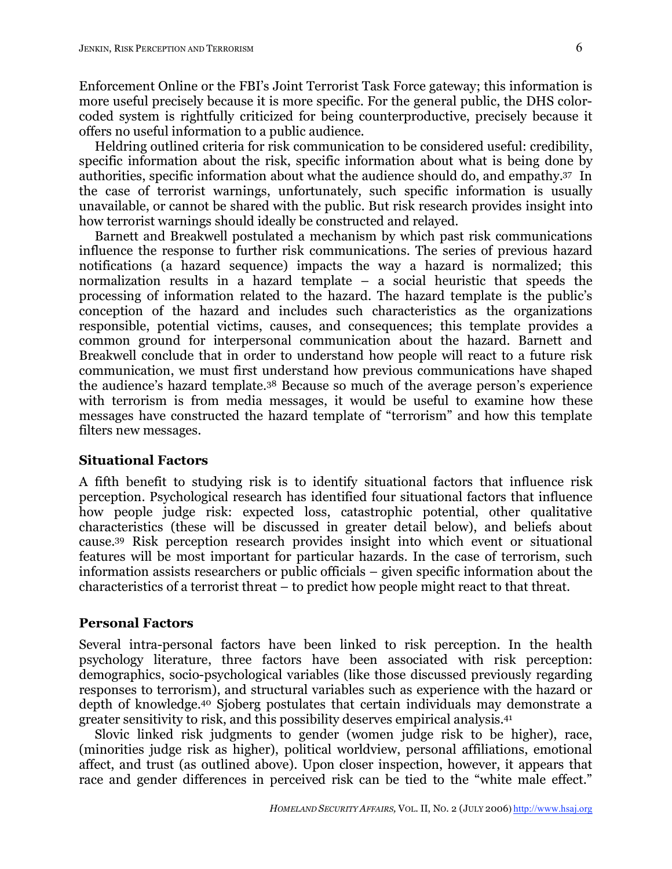Enforcement Online or the FBI's Joint Terrorist Task Force gateway; this information is more useful precisely because it is more specific. For the general public, the DHS colorcoded system is rightfully criticized for being counterproductive, precisely because it offers no useful information to a public audience.

Heldring outlined criteria for risk communication to be considered useful: credibility, specific information about the risk, specific information about what is being done by authorities, specific information about what the audience should do, and empathy. <sup>37</sup> In the case of terrorist warnings, unfortunately, such specific information is usually unavailable, or cannot be shared with the public. But risk research provides insight into how terrorist warnings should ideally be constructed and relayed.

Barnett and Breakwell postulated a mechanism by which past risk communications influence the response to further risk communications. The series of previous hazard notifications (a hazard sequence) impacts the way a hazard is normalized; this normalization results in a hazard template – a social heuristic that speeds the processing of information related to the hazard. The hazard template is the public's conception of the hazard and includes such characteristics as the organizations responsible, potential victims, causes, and consequences; this template provides a common ground for interpersonal communication about the hazard. Barnett and Breakwell conclude that in order to understand how people will react to a future risk communication, we must first understand how previous communications have shaped the audience's hazard template.38 Because so much of the average person's experience with terrorism is from media messages, it would be useful to examine how these messages have constructed the hazard template of "terrorism" and how this template filters new messages.

## **Situational Factors**

A fifth benefit to studying risk is to identify situational factors that influence risk perception. Psychological research has identified four situational factors that influence how people judge risk: expected loss, catastrophic potential, other qualitative characteristics (these will be discussed in greater detail below), and beliefs about cause.39 Risk perception research provides insight into which event or situational features will be most important for particular hazards. In the case of terrorism, such information assists researchers or public officials – given specific information about the characteristics of a terrorist threat – to predict how people might react to that threat.

#### **Personal Factors**

Several intra-personal factors have been linked to risk perception. In the health psychology literature, three factors have been associated with risk perception: demographics, socio-psychological variables (like those discussed previously regarding responses to terrorism), and structural variables such as experience with the hazard or depth of knowledge.40 Sjoberg postulates that certain individuals may demonstrate a greater sensitivity to risk, and this possibility deserves empirical analysis.41

Slovic linked risk judgments to gender (women judge risk to be higher), race, (minorities judge risk as higher), political worldview, personal affiliations, emotional affect, and trust (as outlined above). Upon closer inspection, however, it appears that race and gender differences in perceived risk can be tied to the "white male effect."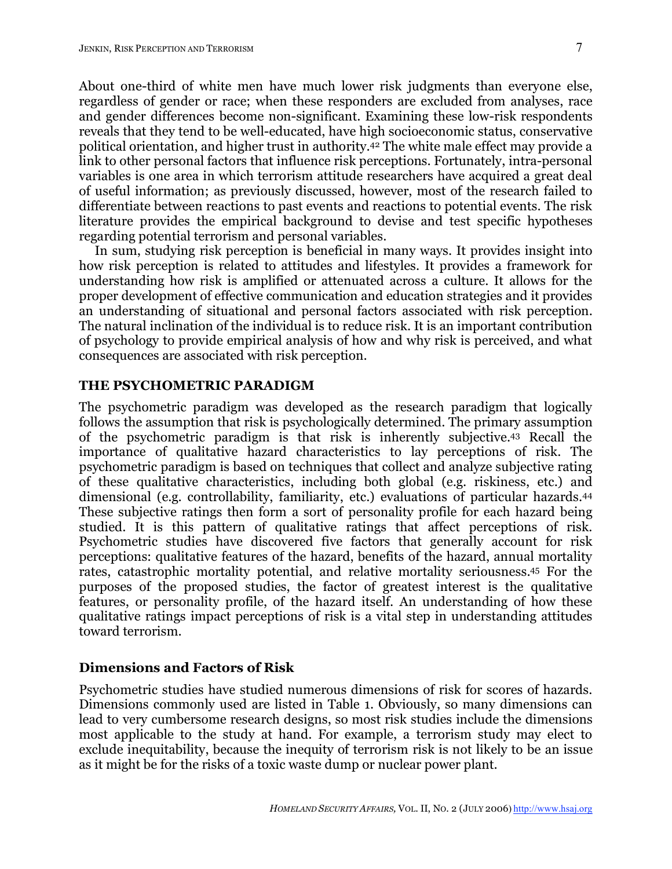About one-third of white men have much lower risk judgments than everyone else, regardless of gender or race; when these responders are excluded from analyses, race and gender differences become non-significant. Examining these low-risk respondents reveals that they tend to be well-educated, have high socioeconomic status, conservative political orientation, and higher trust in authority. <sup>42</sup> The white male effect may provide a link to other personal factors that influence risk perceptions. Fortunately, intra-personal variables is one area in which terrorism attitude researchers have acquired a great deal of useful information; as previously discussed, however, most of the research failed to differentiate between reactions to past events and reactions to potential events. The risk literature provides the empirical background to devise and test specific hypotheses regarding potential terrorism and personal variables.

In sum, studying risk perception is beneficial in many ways. It provides insight into how risk perception is related to attitudes and lifestyles. It provides a framework for understanding how risk is amplified or attenuated across a culture. It allows for the proper development of effective communication and education strategies and it provides an understanding of situational and personal factors associated with risk perception. The natural inclination of the individual is to reduce risk. It is an important contribution of psychology to provide empirical analysis of how and why risk is perceived, and what consequences are associated with risk perception.

#### **THE PSYCHOMETRIC PARADIGM**

The psychometric paradigm was developed as the research paradigm that logically follows the assumption that risk is psychologically determined. The primary assumption of the psychometric paradigm is that risk is inherently subjective.43 Recall the importance of qualitative hazard characteristics to lay perceptions of risk. The psychometric paradigm is based on techniques that collect and analyze subjective rating of these qualitative characteristics, including both global (e.g. riskiness, etc.) and dimensional (e.g. controllability, familiarity, etc.) evaluations of particular hazards.44 These subjective ratings then form a sort of personality profile for each hazard being studied. It is this pattern of qualitative ratings that affect perceptions of risk. Psychometric studies have discovered five factors that generally account for risk perceptions: qualitative features of the hazard, benefits of the hazard, annual mortality rates, catastrophic mortality potential, and relative mortality seriousness. <sup>45</sup> For the purposes of the proposed studies, the factor of greatest interest is the qualitative features, or personality profile, of the hazard itself. An understanding of how these qualitative ratings impact perceptions of risk is a vital step in understanding attitudes toward terrorism.

## **Dimensions and Factors of Risk**

Psychometric studies have studied numerous dimensions of risk for scores of hazards. Dimensions commonly used are listed in Table 1. Obviously, so many dimensions can lead to very cumbersome research designs, so most risk studies include the dimensions most applicable to the study at hand. For example, a terrorism study may elect to exclude inequitability, because the inequity of terrorism risk is not likely to be an issue as it might be for the risks of a toxic waste dump or nuclear power plant.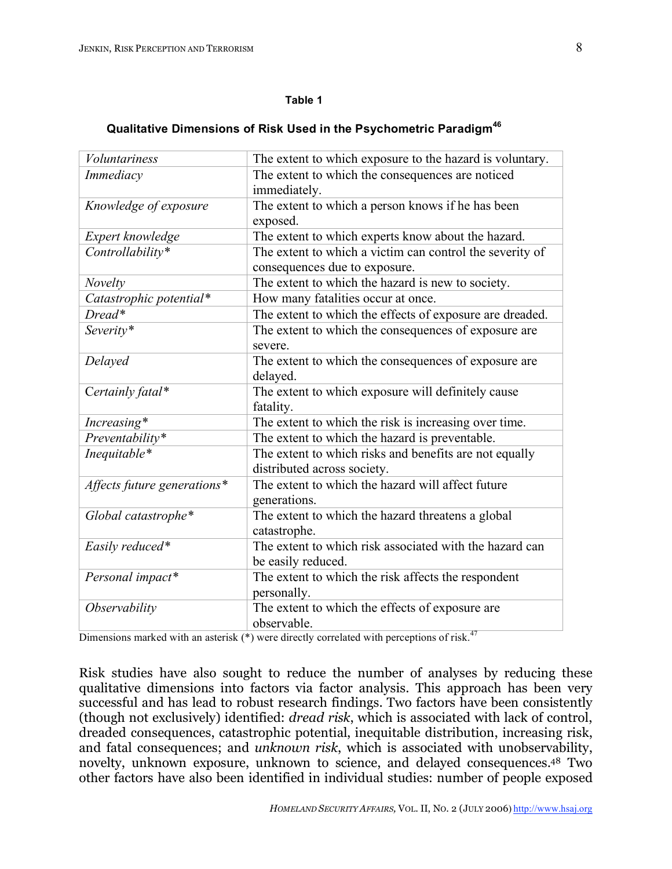#### **Table 1**

# **Qualitative Dimensions of Risk Used in the Psychometric Paradigm<sup>46</sup>**

| <b>Voluntariness</b>        | The extent to which exposure to the hazard is voluntary. |
|-----------------------------|----------------------------------------------------------|
| Immediacy                   | The extent to which the consequences are noticed         |
|                             | immediately.                                             |
| Knowledge of exposure       | The extent to which a person knows if he has been        |
|                             | exposed.                                                 |
| Expert knowledge            | The extent to which experts know about the hazard.       |
| Controllability*            | The extent to which a victim can control the severity of |
|                             | consequences due to exposure.                            |
| Novelty                     | The extent to which the hazard is new to society.        |
| Catastrophic potential*     | How many fatalities occur at once.                       |
| Dread*                      | The extent to which the effects of exposure are dreaded. |
| Severity*                   | The extent to which the consequences of exposure are     |
|                             | severe.                                                  |
| Delayed                     | The extent to which the consequences of exposure are     |
|                             | delayed.                                                 |
| Certainly fatal*            | The extent to which exposure will definitely cause       |
|                             | fatality.                                                |
| Increasing*                 | The extent to which the risk is increasing over time.    |
| Preventability*             | The extent to which the hazard is preventable.           |
| Inequitable*                | The extent to which risks and benefits are not equally   |
|                             | distributed across society.                              |
| Affects future generations* | The extent to which the hazard will affect future        |
|                             | generations.                                             |
| Global catastrophe*         | The extent to which the hazard threatens a global        |
|                             | catastrophe.                                             |
| Easily reduced*             | The extent to which risk associated with the hazard can  |
|                             | be easily reduced.                                       |
| Personal impact*            | The extent to which the risk affects the respondent      |
|                             | personally.                                              |
| Observability               | The extent to which the effects of exposure are          |
|                             | observable.                                              |

Dimensions marked with an asterisk  $(*)$  were directly correlated with perceptions of risk.<sup>47</sup>

Risk studies have also sought to reduce the number of analyses by reducing these qualitative dimensions into factors via factor analysis. This approach has been very successful and has lead to robust research findings. Two factors have been consistently (though not exclusively) identified: *dread risk*, which is associated with lack of control, dreaded consequences, catastrophic potential, inequitable distribution, increasing risk, and fatal consequences; and *unknown risk*, which is associated with unobservability, novelty, unknown exposure, unknown to science, and delayed consequences. <sup>48</sup> Two other factors have also been identified in individual studies: number of people exposed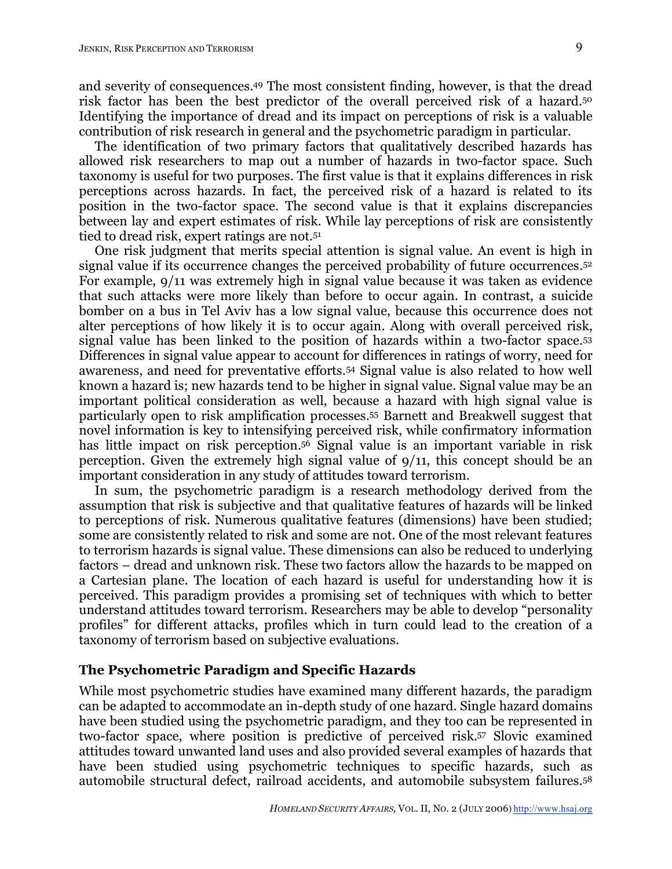and severity of consequences. <sup>49</sup> The most consistent finding, however, is that the dread risk factor has been the best predictor of the overall perceived risk of a hazard.50 Identifying the importance of dread and its impact on perceptions of risk is a valuable contribution of risk research in general and the psychometric paradigm in particular.

The identification of two primary factors that qualitatively described hazards has allowed risk researchers to map out a number of hazards in two-factor space. Such taxonomy is useful for two purposes. The first value is that it explains differences in risk perceptions across hazards. In fact, the perceived risk of a hazard is related to its position in the two-factor space. The second value is that it explains discrepancies between lay and expert estimates of risk. While lay perceptions of risk are consistently tied to dread risk, expert ratings are not.51

One risk judgment that merits special attention is signal value. An event is high in signal value if its occurrence changes the perceived probability of future occurrences.<sup>52</sup> For example, 9/11 was extremely high in signal value because it was taken as evidence that such attacks were more likely than before to occur again. In contrast, a suicide bomber on a bus in Tel Aviv has a low signal value, because this occurrence does not alter perceptions of how likely it is to occur again. Along with overall perceived risk, signal value has been linked to the position of hazards within a two-factor space.53 Differences in signal value appear to account for differences in ratings of worry, need for awareness, and need for preventative efforts.54 Signal value is also related to how well known a hazard is; new hazards tend to be higher in signal value. Signal value may be an important political consideration as well, because a hazard with high signal value is particularly open to risk amplification processes. <sup>55</sup> Barnett and Breakwell suggest that novel information is key to intensifying perceived risk, while confirmatory information has little impact on risk perception. <sup>56</sup> Signal value is an important variable in risk perception. Given the extremely high signal value of 9/11, this concept should be an important consideration in any study of attitudes toward terrorism.

In sum, the psychometric paradigm is a research methodology derived from the assumption that risk is subjective and that qualitative features of hazards will be linked to perceptions of risk. Numerous qualitative features (dimensions) have been studied; some are consistently related to risk and some are not. One of the most relevant features to terrorism hazards is signal value. These dimensions can also be reduced to underlying factors – dread and unknown risk. These two factors allow the hazards to be mapped on a Cartesian plane. The location of each hazard is useful for understanding how it is perceived. This paradigm provides a promising set of techniques with which to better understand attitudes toward terrorism. Researchers may be able to develop "personality profiles" for different attacks, profiles which in turn could lead to the creation of a taxonomy of terrorism based on subjective evaluations.

### **The Psychometric Paradigm and Specific Hazards**

While most psychometric studies have examined many different hazards, the paradigm can be adapted to accommodate an in-depth study of one hazard. Single hazard domains have been studied using the psychometric paradigm, and they too can be represented in two-factor space, where position is predictive of perceived risk. <sup>57</sup> Slovic examined attitudes toward unwanted land uses and also provided several examples of hazards that have been studied using psychometric techniques to specific hazards, such as automobile structural defect, railroad accidents, and automobile subsystem failures.58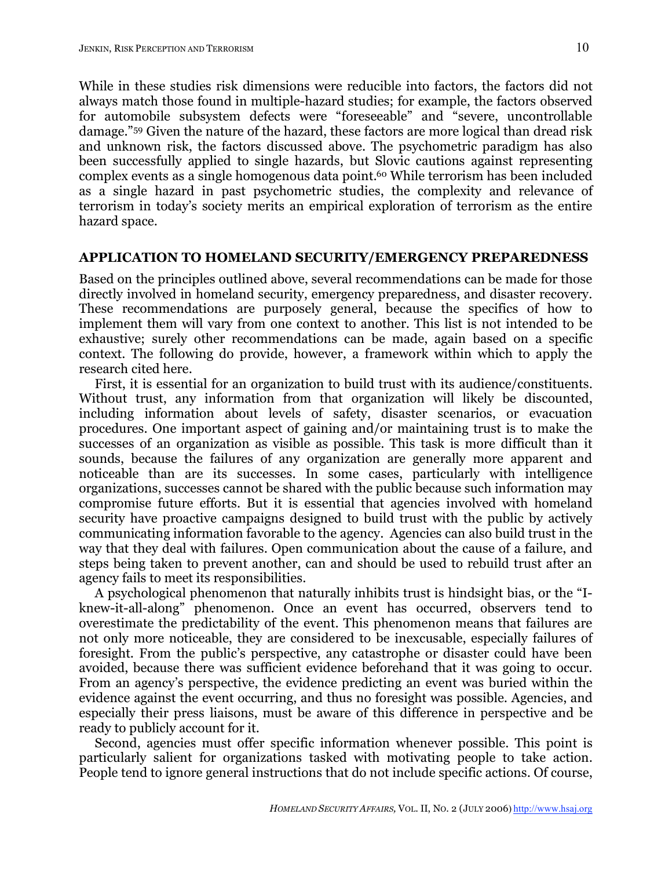While in these studies risk dimensions were reducible into factors, the factors did not always match those found in multiple-hazard studies; for example, the factors observed for automobile subsystem defects were "foreseeable" and "severe, uncontrollable damage."59 Given the nature of the hazard, these factors are more logical than dread risk and unknown risk, the factors discussed above. The psychometric paradigm has also been successfully applied to single hazards, but Slovic cautions against representing complex events as a single homogenous data point. <sup>60</sup> While terrorism has been included as a single hazard in past psychometric studies, the complexity and relevance of terrorism in today's society merits an empirical exploration of terrorism as the entire hazard space.

#### **APPLICATION TO HOMELAND SECURITY/EMERGENCY PREPAREDNESS**

Based on the principles outlined above, several recommendations can be made for those directly involved in homeland security, emergency preparedness, and disaster recovery. These recommendations are purposely general, because the specifics of how to implement them will vary from one context to another. This list is not intended to be exhaustive; surely other recommendations can be made, again based on a specific context. The following do provide, however, a framework within which to apply the research cited here.

First, it is essential for an organization to build trust with its audience/constituents. Without trust, any information from that organization will likely be discounted, including information about levels of safety, disaster scenarios, or evacuation procedures. One important aspect of gaining and/or maintaining trust is to make the successes of an organization as visible as possible. This task is more difficult than it sounds, because the failures of any organization are generally more apparent and noticeable than are its successes. In some cases, particularly with intelligence organizations, successes cannot be shared with the public because such information may compromise future efforts. But it is essential that agencies involved with homeland security have proactive campaigns designed to build trust with the public by actively communicating information favorable to the agency. Agencies can also build trust in the way that they deal with failures. Open communication about the cause of a failure, and steps being taken to prevent another, can and should be used to rebuild trust after an agency fails to meet its responsibilities.

A psychological phenomenon that naturally inhibits trust is hindsight bias, or the "Iknew-it-all-along" phenomenon. Once an event has occurred, observers tend to overestimate the predictability of the event. This phenomenon means that failures are not only more noticeable, they are considered to be inexcusable, especially failures of foresight. From the public's perspective, any catastrophe or disaster could have been avoided, because there was sufficient evidence beforehand that it was going to occur. From an agency's perspective, the evidence predicting an event was buried within the evidence against the event occurring, and thus no foresight was possible. Agencies, and especially their press liaisons, must be aware of this difference in perspective and be ready to publicly account for it.

Second, agencies must offer specific information whenever possible. This point is particularly salient for organizations tasked with motivating people to take action. People tend to ignore general instructions that do not include specific actions. Of course,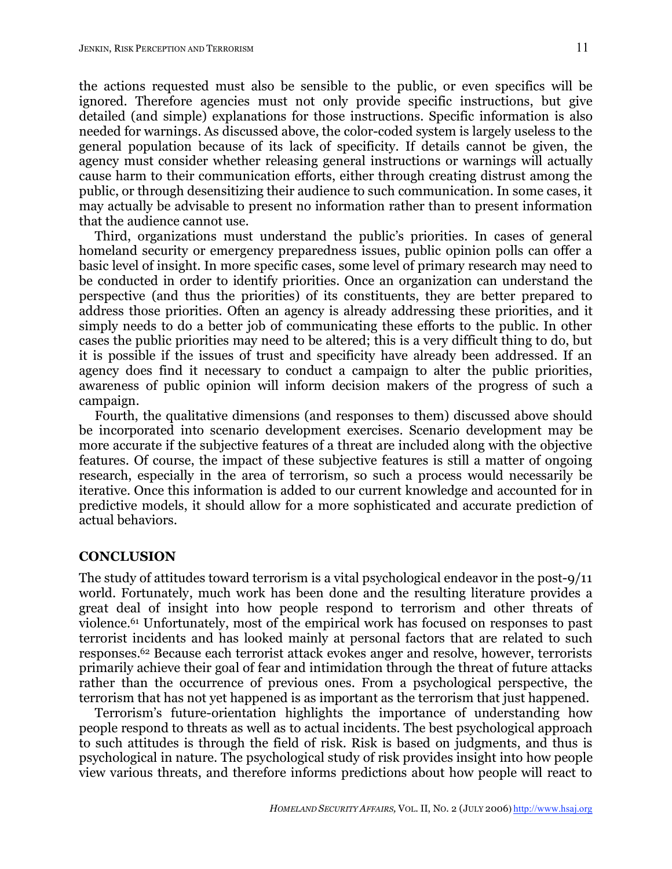the actions requested must also be sensible to the public, or even specifics will be ignored. Therefore agencies must not only provide specific instructions, but give detailed (and simple) explanations for those instructions. Specific information is also needed for warnings. As discussed above, the color-coded system is largely useless to the general population because of its lack of specificity. If details cannot be given, the agency must consider whether releasing general instructions or warnings will actually cause harm to their communication efforts, either through creating distrust among the public, or through desensitizing their audience to such communication. In some cases, it may actually be advisable to present no information rather than to present information that the audience cannot use.

Third, organizations must understand the public's priorities. In cases of general homeland security or emergency preparedness issues, public opinion polls can offer a basic level of insight. In more specific cases, some level of primary research may need to be conducted in order to identify priorities. Once an organization can understand the perspective (and thus the priorities) of its constituents, they are better prepared to address those priorities. Often an agency is already addressing these priorities, and it simply needs to do a better job of communicating these efforts to the public. In other cases the public priorities may need to be altered; this is a very difficult thing to do, but it is possible if the issues of trust and specificity have already been addressed. If an agency does find it necessary to conduct a campaign to alter the public priorities, awareness of public opinion will inform decision makers of the progress of such a campaign.

Fourth, the qualitative dimensions (and responses to them) discussed above should be incorporated into scenario development exercises. Scenario development may be more accurate if the subjective features of a threat are included along with the objective features. Of course, the impact of these subjective features is still a matter of ongoing research, especially in the area of terrorism, so such a process would necessarily be iterative. Once this information is added to our current knowledge and accounted for in predictive models, it should allow for a more sophisticated and accurate prediction of actual behaviors.

#### **CONCLUSION**

The study of attitudes toward terrorism is a vital psychological endeavor in the post-9/11 world. Fortunately, much work has been done and the resulting literature provides a great deal of insight into how people respond to terrorism and other threats of violence.61 Unfortunately, most of the empirical work has focused on responses to past terrorist incidents and has looked mainly at personal factors that are related to such responses. <sup>62</sup> Because each terrorist attack evokes anger and resolve, however, terrorists primarily achieve their goal of fear and intimidation through the threat of future attacks rather than the occurrence of previous ones. From a psychological perspective, the terrorism that has not yet happened is as important as the terrorism that just happened.

Terrorism's future-orientation highlights the importance of understanding how people respond to threats as well as to actual incidents. The best psychological approach to such attitudes is through the field of risk. Risk is based on judgments, and thus is psychological in nature. The psychological study of risk provides insight into how people view various threats, and therefore informs predictions about how people will react to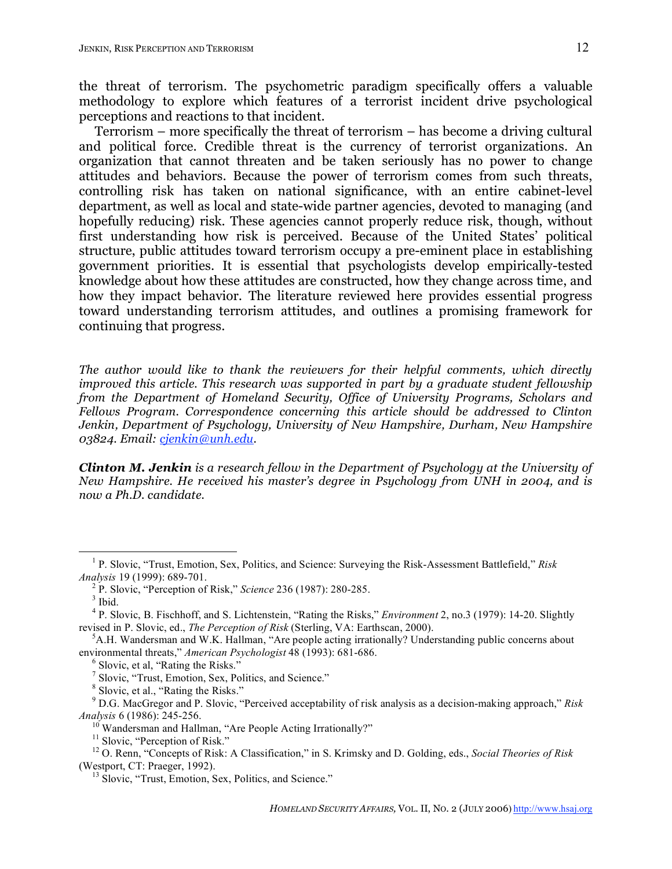the threat of terrorism. The psychometric paradigm specifically offers a valuable methodology to explore which features of a terrorist incident drive psychological perceptions and reactions to that incident.

Terrorism – more specifically the threat of terrorism – has become a driving cultural and political force. Credible threat is the currency of terrorist organizations. An organization that cannot threaten and be taken seriously has no power to change attitudes and behaviors. Because the power of terrorism comes from such threats, controlling risk has taken on national significance, with an entire cabinet-level department, as well as local and state-wide partner agencies, devoted to managing (and hopefully reducing) risk. These agencies cannot properly reduce risk, though, without first understanding how risk is perceived. Because of the United States' political structure, public attitudes toward terrorism occupy a pre-eminent place in establishing government priorities. It is essential that psychologists develop empirically-tested knowledge about how these attitudes are constructed, how they change across time, and how they impact behavior. The literature reviewed here provides essential progress toward understanding terrorism attitudes, and outlines a promising framework for continuing that progress.

*The author would like to thank the reviewers for their helpful comments, which directly improved this article. This research was supported in part by a graduate student fellowship from the Department of Homeland Security, Office of University Programs, Scholars and Fellows Program. Correspondence concerning this article should be addressed to Clinton Jenkin, Department of Psychology, University of New Hampshire, Durham, New Hampshire 03824. Email: cjenkin@unh.edu.*

*Clinton M. Jenkin is a research fellow in the Department of Psychology at the University of New Hampshire. He received his master's degree in Psychology from UNH in 2004, and is now a Ph.D. candidate.*

 <sup>1</sup> P. Slovic, "Trust, Emotion, Sex, Politics, and Science: Surveying the Risk-Assessment Battlefield," *Risk Analysis* 19 (1999): 689-701.<br><sup>2</sup> P. Slovic, "Perception of Risk," *Science* 236 (1987): 280-285.<br><sup>3</sup> Ibid.<br><sup>4</sup> P. Slovic, B. Fischhoff, and S. Lichtenstein, "Rating the Risks," *Environment* 2, no.3 (1979): 14-20. Sligh

revised in P. Slovic, ed., *The Perception of Risk* (Sterling, VA: Earthscan, 2000).

<sup>&</sup>lt;sup>5</sup>A.H. Wandersman and W.K. Hallman, "Are people acting irrationally? Understanding public concerns about environmental threats," American Psychologist 48 (1993): 681-686.<br>
<sup>6</sup> Slovic, et al., "Rating the Risks."<br>
<sup>7</sup> Slovic, "Trust, Emotion, Sex, Politics, and Science."<br>
<sup>8</sup> Slovic, et al., "Rating the Risks."<br>
<sup>9</sup> D.G. MacGr

*Analysis* 6 (1986): 245-256.<br><sup>10</sup> Wandersman and Hallman, "Are People Acting Irrationally?"<br><sup>11</sup> Slovic, "Perception of Risk."<br><sup>12</sup> O. Renn, "Concepts of Risk: A Classification," in S. Krimsky and D. Golding, eds., *Soci* 

<sup>(</sup>Westport, CT: Praeger, 1992).<br><sup>13</sup> Slovic, "Trust, Emotion, Sex, Politics, and Science."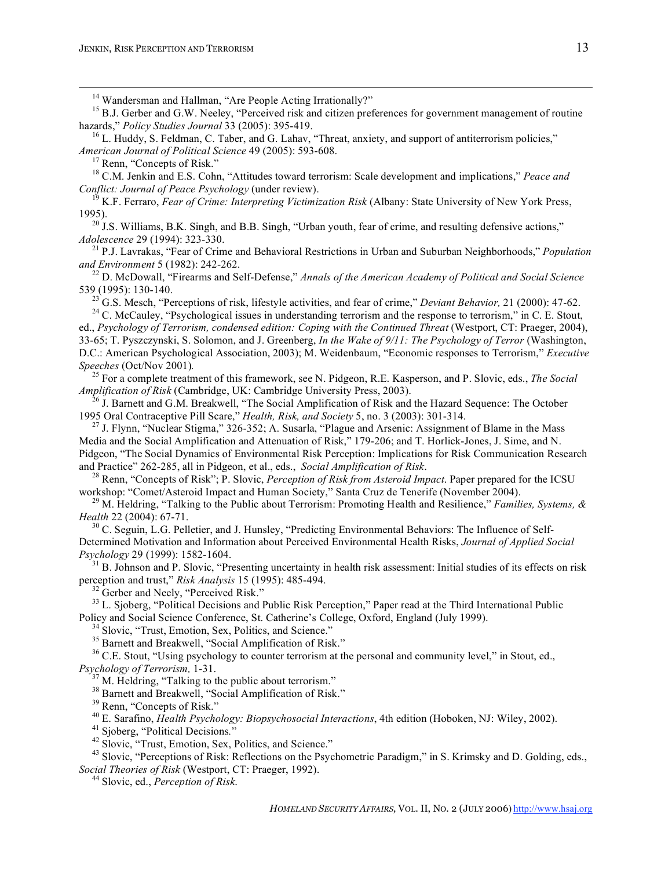<sup>14</sup> Wandersman and Hallman, "Are People Acting Irrationally?"<br><sup>15</sup> B.J. Gerber and G.W. Neeley, "Perceived risk and citizen preferences for government management of routine<br>hazards," *Policy Studies Journal* 33 (2005): 3

<sup>16</sup> L. Huddy, S. Feldman, C. Taber, and G. Lahav, "Threat, anxiety, and support of antiterrorism policies,"<br>*American Journal of Political Science* 49 (2005): 593-608.

<sup>17</sup> Renn, "Concepts of Risk."<br><sup>18</sup> C.M. Jenkin and E.S. Cohn, "Attitudes toward terrorism: Scale development and implications," *Peace and* Conflict: Journal of Peace Psychology (under review).<br><sup>19</sup> K.F. Ferraro, *Fear of Crime: Interpreting Victimization Risk* (Albany: State University of New York Press.

1995). <sup>20</sup> J.S. Williams, B.K. Singh, and B.B. Singh, "Urban youth, fear of crime, and resulting defensive actions," *Adolescence* 29 (1994): 323-330.

<sup>21</sup> P.J. Lavrakas, "Fear of Crime and Behavioral Restrictions in Urban and Suburban Neighborhoods," *Population* and *Environment* 5 (1982): 242-262.

<sup>22</sup> D. McDowall, "Firearms and Self-Defense," Annals of the American Academy of Political and Social Science

539 (1995): 130-140.<br><sup>23</sup> G.S. Mesch, "Perceptions of risk, lifestyle activities, and fear of crime," *Deviant Behavior*, 21 (2000): 47-62.<br><sup>24</sup> C. McCauley, "Psychological issues in understanding terrorism and the respon

ed., *Psychology of Terrorism, condensed edition: Coping with the Continued Threat* (Westport, CT: Praeger, 2004), 33-65; T. Pyszczynski, S. Solomon, and J. Greenberg, *In the Wake of 9/11: The Psychology of Terror* (Washington, D.C.: American Psychological Association, 2003); M. Weidenbaum, "Economic responses to Terrorism," *Executive*

*Speeches* (Oct/Nov 2001)*.* <sup>25</sup> For <sup>a</sup> complete treatment of this framework, see N. Pidgeon, R.E. Kasperson, and P. Slovic, eds., *The Social*

<sup>26</sup> J. Barnett and G.M. Breakwell, "The Social Amplification of Risk and the Hazard Sequence: The October 1995 Oral Contraceptive Pill Scare," *Health, Risk, and Society* 5, no. 3 (2003): 301-314.

<sup>27</sup> J. Flynn, "Nuclear Stigma," 326-352; A. Susarla, "Plague and Arsenic: Assignment of Blame in the Mass Media and the Social Amplification and Attenuation of Risk," 179-206; and T. Horlick-Jones, J. Sime, and N. Pidgeon, "The Social Dynamics of Environmental Risk Perception: Implications for Risk Communication Research and Practice" 262-285, all in Pidgeon, et al., eds., Social Amplification of Risk.

<sup>28</sup> Renn, "Concepts of Risk"; P. Slovic, *Perception of Risk from Asteroid Impact*. Paper prepared for the ICSU workshop: "Comet/Asteroid Impact and Human Society," Santa Cruz de Tenerife (November 2004). <sup>29</sup> M. Heldring, "Talking to the Public about Terrorism: Promoting Health and Resilience," *Families, Systems, &*

*Health* 22 (2004): 67-71.<br><sup>30</sup> C. Seguin, L.G. Pelletier, and J. Hunsley, "Predicting Environmental Behaviors: The Influence of Self-

Determined Motivation and Information about Perceived Environmental Health Risks, *Journal of Applied Social*

*Psychology* 29 (1999): 1582-1604.<br><sup>31</sup> B. Johnson and P. Slovic, "Presenting uncertainty in health risk assessment: Initial studies of its effects on risk perception and trust," *Risk Analysis* 15 (1995): 485-494.

<sup>32</sup> Gerber and Neely, "Perceived Risk."<br><sup>33</sup> L. Sioberg, "Political Decisions and Public Risk Perception," Paper read at the Third International Public Policy and Social Science Conference, St. Catherine's College, Oxford, England (July 1999).<br><sup>34</sup> Slovic, "Trust, Emotion, Sex, Politics, and Science."<br><sup>35</sup> Barnett and Breakwell, "Social Amplification of Risk."<br><sup>36</sup> C.E. S

*Psychology of Terrorism*, 1-31.<br><sup>37</sup> M. Heldring, "Talking to the public about terrorism."<br><sup>37</sup> M. Heldring, "Talking to the public about terrorism."<br><sup>39</sup> Renn, "Concepts of Risk."<br><sup>40</sup> E. Sarafino, *Health Psychology: Bi* 

*Social Theories of Risk* (Westport, CT: Praeger, 1992). <sup>44</sup> Slovic, ed., *Perception of Risk*.